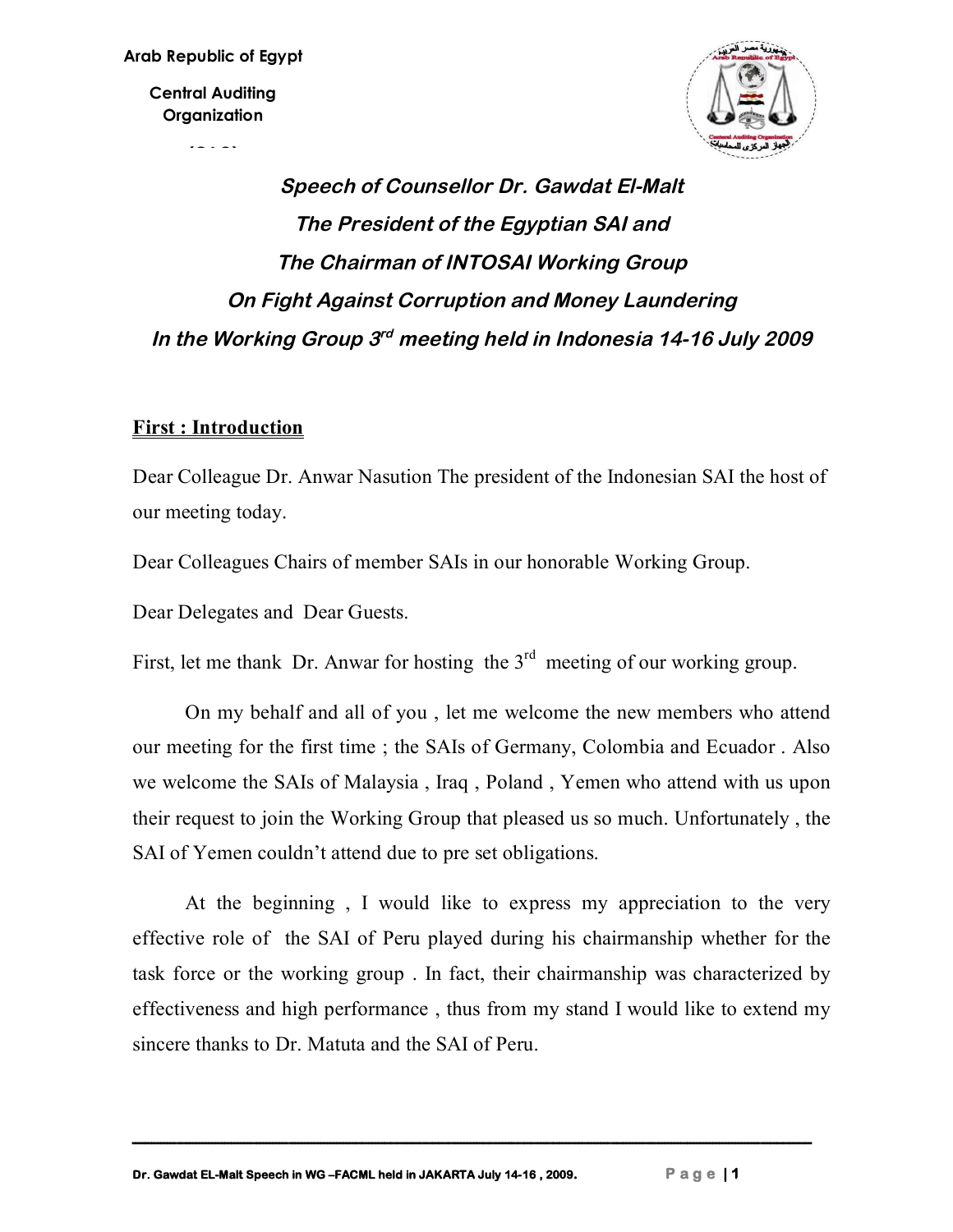**Central Auditing Organization**

**(CAO)**



# *Speech of Counsellor Dr. Gawdat El-Malt The President of the Egyptian SAI and The Chairman of INTOSAI Working Group On Fight Against Corruption and Money Laundering* In the Working Group 3<sup>rd</sup> meeting held in Indonesia 14-16 July 2009

## **First : Introduction**

Dear Colleague Dr. Anwar Nasution The president of the Indonesian SAI the host of our meeting today.

Dear Colleagues Chairs of member SAIs in our honorable Working Group.

Dear Delegates and Dear Guests.

First, let me thank Dr. Anwar for hosting the  $3<sup>rd</sup>$  meeting of our working group.

On my behalf and all of you , let me welcome the new members who attend our meeting for the first time ; the SAIs of Germany, Colombia and Ecuador . Also we welcome the SAIs of Malaysia , Iraq , Poland , Yemen who attend with us upon their request to join the Working Group that pleased us so much. Unfortunately , the SAI of Yemen couldn't attend due to pre set obligations.

At the beginning , I would like to express my appreciation to the very effective role of the SAI of Peru played during his chairmanship whether for the task force or the working group . In fact, their chairmanship was characterized by effectiveness and high performance , thus from my stand I would like to extend my sincere thanks to Dr. Matuta and the SAI of Peru.

**ـــــــــــــــــــــــــــــــــــــــــــــــــــــــــــــــــــــــــــــــــــــــــــــــــــــــــــــــــــــــــــــــــــــــــــــــــــــــــــــــــــــــــــــــــــــــــــــــــــــــــــــــــــــ**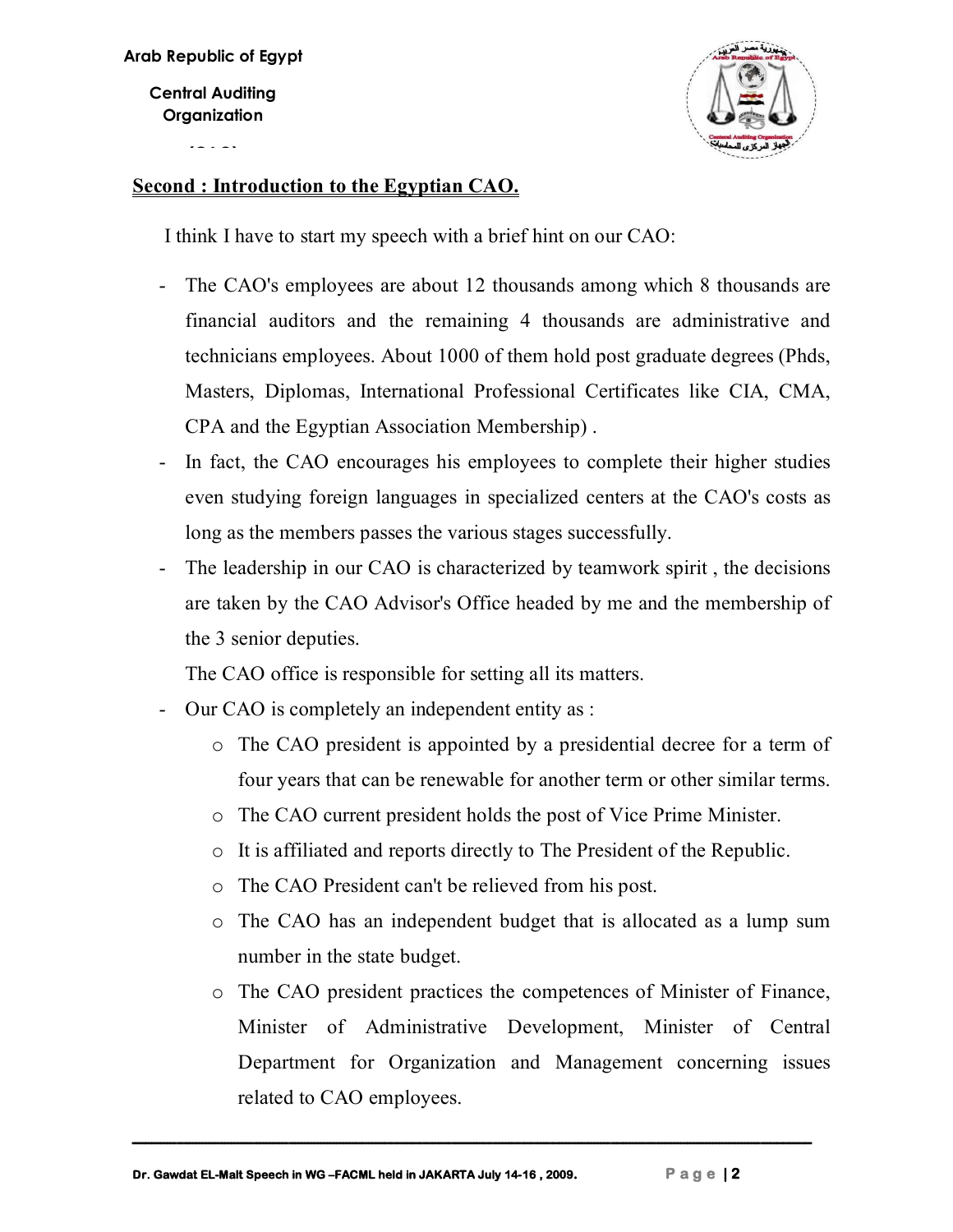**Central Auditing Organization**

**(CAO)**



### **Second : Introduction to the Egyptian CAO.**

I think I have to start my speech with a brief hint on our CAO:

- The CAO's employees are about 12 thousands among which 8 thousands are financial auditors and the remaining 4 thousands are administrative and technicians employees. About 1000 of them hold post graduate degrees (Phds, Masters, Diplomas, International Professional Certificates like CIA, CMA, CPA and the Egyptian Association Membership) .
- In fact, the CAO encourages his employees to complete their higher studies even studying foreign languages in specialized centers at the CAO's costs as long as the members passes the various stages successfully.
- The leadership in our CAO is characterized by teamwork spirit , the decisions are taken by the CAO Advisor's Office headed by me and the membership of the 3 senior deputies.

The CAO office is responsible for setting all its matters.

- Our CAO is completely an independent entity as :
	- o The CAO president is appointed by a presidential decree for a term of four years that can be renewable for another term or other similar terms.
	- o The CAO current president holds the post of Vice Prime Minister.
	- o It is affiliated and reports directly to The President of the Republic.
	- o The CAO President can't be relieved from his post.
	- o The CAO has an independent budget that is allocated as a lump sum number in the state budget.
	- o The CAO president practices the competences of Minister of Finance, Minister of Administrative Development, Minister of Central Department for Organization and Management concerning issues related to CAO employees.

**ـــــــــــــــــــــــــــــــــــــــــــــــــــــــــــــــــــــــــــــــــــــــــــــــــــــــــــــــــــــــــــــــــــــــــــــــــــــــــــــــــــــــــــــــــــــــــــــــــــــــــــــــــــــ**